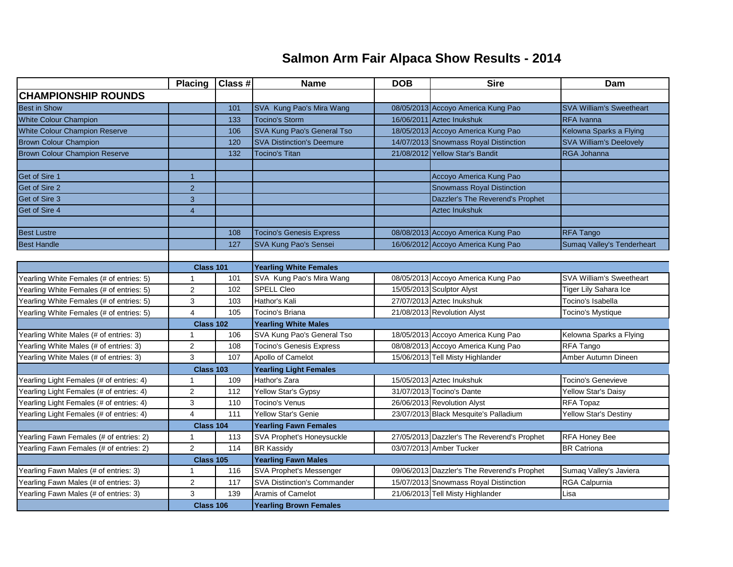## **Salmon Arm Fair Alpaca Show Results - 2014**

|                                          | <b>Placing</b>   | Class # | <b>Name</b>                        | <b>DOB</b> | <b>Sire</b>                                 | Dam                             |  |
|------------------------------------------|------------------|---------|------------------------------------|------------|---------------------------------------------|---------------------------------|--|
| <b>CHAMPIONSHIP ROUNDS</b>               |                  |         |                                    |            |                                             |                                 |  |
| <b>Best in Show</b>                      |                  | 101     | SVA Kung Pao's Mira Wang           |            | 08/05/2013 Accoyo America Kung Pao          | <b>SVA William's Sweetheart</b> |  |
| <b>White Colour Champion</b>             |                  | 133     | <b>Tocino's Storm</b>              |            | 16/06/2011 Aztec Inukshuk                   | <b>RFA</b> Ivanna               |  |
| <b>White Colour Champion Reserve</b>     |                  | 106     | SVA Kung Pao's General Tso         |            | 18/05/2013 Accoyo America Kung Pao          | Kelowna Sparks a Flying         |  |
| <b>Brown Colour Champion</b>             |                  | 120     | <b>SVA Distinction's Deemure</b>   |            | 14/07/2013 Snowmass Royal Distinction       | <b>SVA William's Deelovely</b>  |  |
| <b>Brown Colour Champion Reserve</b>     |                  | 132     | <b>Tocino's Titan</b>              |            | 21/08/2012 Yellow Star's Bandit             | RGA Johanna                     |  |
|                                          |                  |         |                                    |            |                                             |                                 |  |
| Get of Sire 1                            | $\overline{1}$   |         |                                    |            | Accoyo America Kung Pao                     |                                 |  |
| Get of Sire 2                            | $\overline{2}$   |         |                                    |            | <b>Snowmass Royal Distinction</b>           |                                 |  |
| Get of Sire 3                            | 3                |         |                                    |            | Dazzler's The Reverend's Prophet            |                                 |  |
| Get of Sire 4                            | $\overline{4}$   |         |                                    |            | <b>Aztec Inukshuk</b>                       |                                 |  |
|                                          |                  |         |                                    |            |                                             |                                 |  |
| <b>Best Lustre</b>                       |                  | 108     | <b>Tocino's Genesis Express</b>    |            | 08/08/2013 Accoyo America Kung Pao          | <b>RFA Tango</b>                |  |
| <b>Best Handle</b>                       |                  | 127     | SVA Kung Pao's Sensei              |            | 16/06/2012 Accoyo America Kung Pao          | Sumaq Valley's Tenderheart      |  |
|                                          |                  |         |                                    |            |                                             |                                 |  |
|                                          | Class 101        |         | <b>Yearling White Females</b>      |            |                                             |                                 |  |
| Yearling White Females (# of entries: 5) | 1                | 101     | SVA Kung Pao's Mira Wang           |            | 08/05/2013 Accoyo America Kung Pao          | SVA William's Sweetheart        |  |
| Yearling White Females (# of entries: 5) | $\overline{2}$   | 102     | <b>SPELL Cleo</b>                  |            | 15/05/2013 Sculptor Alyst                   | Tiger Lily Sahara Ice           |  |
| Yearling White Females (# of entries: 5) | 3                | 103     | Hathor's Kali                      |            | 27/07/2013 Aztec Inukshuk                   | Tocino's Isabella               |  |
| Yearling White Females (# of entries: 5) | 4                | 105     | Tocino's Briana                    |            | 21/08/2013 Revolution Alyst                 | Tocino's Mystique               |  |
|                                          | <b>Class 102</b> |         | <b>Yearling White Males</b>        |            |                                             |                                 |  |
| Yearling White Males (# of entries: 3)   | $\mathbf 1$      | 106     | SVA Kung Pao's General Tso         |            | 18/05/2013 Accoyo America Kung Pao          | Kelowna Sparks a Flying         |  |
| Yearling White Males (# of entries: 3)   | 2                | 108     | <b>Tocino's Genesis Express</b>    |            | 08/08/2013 Accoyo America Kung Pao          | RFA Tango                       |  |
| Yearling White Males (# of entries: 3)   | 3                | 107     | Apollo of Camelot                  |            | 15/06/2013 Tell Misty Highlander            | Amber Autumn Dineen             |  |
|                                          | Class 103        |         | <b>Yearling Light Females</b>      |            |                                             |                                 |  |
| Yearling Light Females (# of entries: 4) | $\mathbf 1$      | 109     | Hathor's Zara                      |            | 15/05/2013 Aztec Inukshuk                   | <b>Tocino's Genevieve</b>       |  |
| Yearling Light Females (# of entries: 4) | $\overline{c}$   | 112     | Yellow Star's Gypsy                |            | 31/07/2013 Tocino's Dante                   | Yellow Star's Daisy             |  |
| Yearling Light Females (# of entries: 4) | 3                | 110     | <b>Tocino's Venus</b>              |            | 26/06/2013 Revolution Alyst                 | RFA Topaz                       |  |
| Yearling Light Females (# of entries: 4) | $\overline{4}$   | 111     | <b>Yellow Star's Genie</b>         |            | 23/07/2013 Black Mesquite's Palladium       | Yellow Star's Destiny           |  |
|                                          | Class 104        |         | <b>Yearling Fawn Females</b>       |            |                                             |                                 |  |
| Yearling Fawn Females (# of entries: 2)  | $\mathbf{1}$     | 113     | SVA Prophet's Honeysuckle          |            | 27/05/2013 Dazzler's The Reverend's Prophet | RFA Honey Bee                   |  |
| Yearling Fawn Females (# of entries: 2)  | $\overline{2}$   | 114     | <b>BR Kassidy</b>                  |            | 03/07/2013 Amber Tucker                     | <b>BR</b> Catriona              |  |
|                                          | Class 105        |         | <b>Yearling Fawn Males</b>         |            |                                             |                                 |  |
| Yearling Fawn Males (# of entries: 3)    | $\overline{1}$   | 116     | SVA Prophet's Messenger            |            | 09/06/2013 Dazzler's The Reverend's Prophet | Sumaq Valley's Javiera          |  |
| Yearling Fawn Males (# of entries: 3)    | $\overline{2}$   | 117     | <b>SVA Distinction's Commander</b> |            | 15/07/2013 Snowmass Royal Distinction       | RGA Calpurnia                   |  |
| Yearling Fawn Males (# of entries: 3)    | 3                | 139     | Aramis of Camelot                  |            | 21/06/2013 Tell Misty Highlander            | Lisa                            |  |
|                                          | Class 106        |         | <b>Yearling Brown Females</b>      |            |                                             |                                 |  |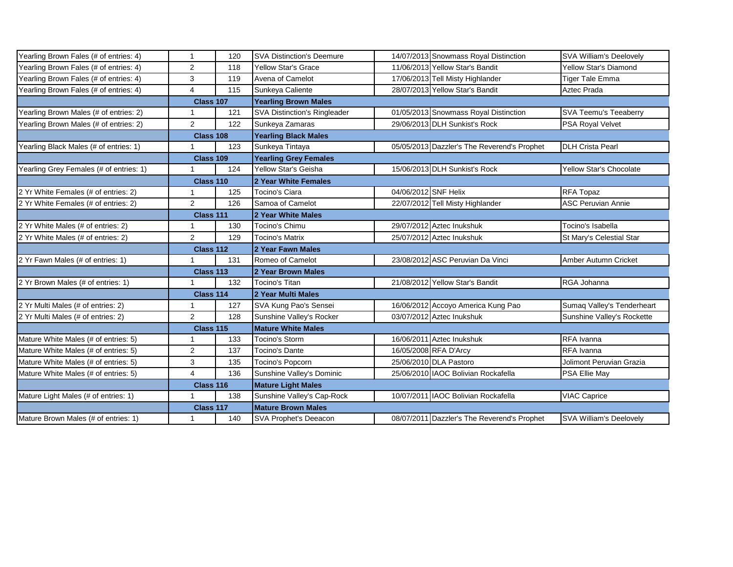| Yearling Brown Fales (# of entries: 4)  | $\mathbf{1}$     | 120 | <b>SVA Distinction's Deemure</b>    | 14/07/2013 Snowmass Royal Distinction       | SVA William's Deelovely        |  |
|-----------------------------------------|------------------|-----|-------------------------------------|---------------------------------------------|--------------------------------|--|
| Yearling Brown Fales (# of entries: 4)  | $\mathbf{2}$     | 118 | <b>Yellow Star's Grace</b>          | 11/06/2013 Yellow Star's Bandit             | <b>Yellow Star's Diamond</b>   |  |
| Yearling Brown Fales (# of entries: 4)  | 3                | 119 | Avena of Camelot                    | 17/06/2013 Tell Misty Highlander            | <b>Tiger Tale Emma</b>         |  |
| Yearling Brown Fales (# of entries: 4)  | 4                | 115 | Sunkeya Caliente                    | 28/07/2013 Yellow Star's Bandit             | Aztec Prada                    |  |
|                                         | Class 107        |     | <b>Yearling Brown Males</b>         |                                             |                                |  |
| Yearling Brown Males (# of entries: 2)  | 1                | 121 | <b>SVA Distinction's Ringleader</b> | 01/05/2013 Snowmass Royal Distinction       | SVA Teemu's Teeaberry          |  |
| Yearling Brown Males (# of entries: 2)  | $\overline{2}$   | 122 | Sunkeya Zamaras                     | 29/06/2013 DLH Sunkist's Rock               | <b>PSA Royal Velvet</b>        |  |
|                                         | <b>Class 108</b> |     | <b>Yearling Black Males</b>         |                                             |                                |  |
| Yearling Black Males (# of entries: 1)  |                  | 123 | Sunkeya Tintaya                     | 05/05/2013 Dazzler's The Reverend's Prophet | <b>DLH Crista Pearl</b>        |  |
|                                         | Class 109        |     | <b>Yearling Grey Females</b>        |                                             |                                |  |
| Yearling Grey Females (# of entries: 1) |                  | 124 | Yellow Star's Geisha                | 15/06/2013 DLH Sunkist's Rock               | <b>Yellow Star's Chocolate</b> |  |
|                                         | Class 110        |     | 2 Year White Females                |                                             |                                |  |
| 2 Yr White Females (# of entries: 2)    | 1                | 125 | Tocino's Ciara                      | 04/06/2012 SNF Helix                        | RFA Topaz                      |  |
| 2 Yr White Females (# of entries: 2)    | $\overline{2}$   | 126 | Samoa of Camelot                    | 22/07/2012 Tell Misty Highlander            | <b>ASC Peruvian Annie</b>      |  |
|                                         | Class 111        |     | 2 Year White Males                  |                                             |                                |  |
| 2 Yr White Males (# of entries: 2)      | 1                | 130 | Tocino's Chimu                      | 29/07/2012 Aztec Inukshuk                   | Tocino's Isabella              |  |
| 2 Yr White Males (# of entries: 2)      | $\overline{2}$   | 129 | <b>Tocino's Matrix</b>              | 25/07/2012 Aztec Inukshuk                   | St Mary's Celestial Star       |  |
|                                         | Class 112        |     | 2 Year Fawn Males                   |                                             |                                |  |
| 2 Yr Fawn Males (# of entries: 1)       |                  | 131 | Romeo of Camelot                    | 23/08/2012 ASC Peruvian Da Vinci            | Amber Autumn Cricket           |  |
|                                         | Class 113        |     | 2 Year Brown Males                  |                                             |                                |  |
| 2 Yr Brown Males (# of entries: 1)      |                  | 132 | Tocino's Titan                      | 21/08/2012 Yellow Star's Bandit             | RGA Johanna                    |  |
|                                         | Class 114        |     | 2 Year Multi Males                  |                                             |                                |  |
| 2 Yr Multi Males (# of entries: 2)      | 1                | 127 | SVA Kung Pao's Sensei               | 16/06/2012 Accoyo America Kung Pao          | Sumaq Valley's Tenderheart     |  |
| 2 Yr Multi Males (# of entries: 2)      | $\overline{2}$   | 128 | Sunshine Valley's Rocker            | 03/07/2012 Aztec Inukshuk                   | Sunshine Valley's Rockette     |  |
|                                         | Class 115        |     | <b>Mature White Males</b>           |                                             |                                |  |
| Mature White Males (# of entries: 5)    | 1                | 133 | Tocino's Storm                      | 16/06/2011 Aztec Inukshuk                   | RFA Ivanna                     |  |
| Mature White Males (# of entries: 5)    | $\overline{2}$   | 137 | <b>Tocino's Dante</b>               | 16/05/2008 RFA D'Arcy                       | RFA Ivanna                     |  |
| Mature White Males (# of entries: 5)    | 3                | 135 | Tocino's Popcorn                    | 25/06/2010 DLA Pastoro                      | Jolimont Peruvian Grazia       |  |
| Mature White Males (# of entries: 5)    | 4                | 136 | Sunshine Valley's Dominic           | 25/06/2010 IAOC Bolivian Rockafella         | PSA Ellie May                  |  |
|                                         | Class 116        |     | <b>Mature Light Males</b>           |                                             |                                |  |
| Mature Light Males (# of entries: 1)    | 1                | 138 | Sunshine Valley's Cap-Rock          | 10/07/2011 IAOC Bolivian Rockafella         | <b>VIAC Caprice</b>            |  |
|                                         | Class 117        |     | <b>Mature Brown Males</b>           |                                             |                                |  |
| Mature Brown Males (# of entries: 1)    | -1               | 140 | SVA Prophet's Deeacon               | 08/07/2011 Dazzler's The Reverend's Prophet | SVA William's Deelovely        |  |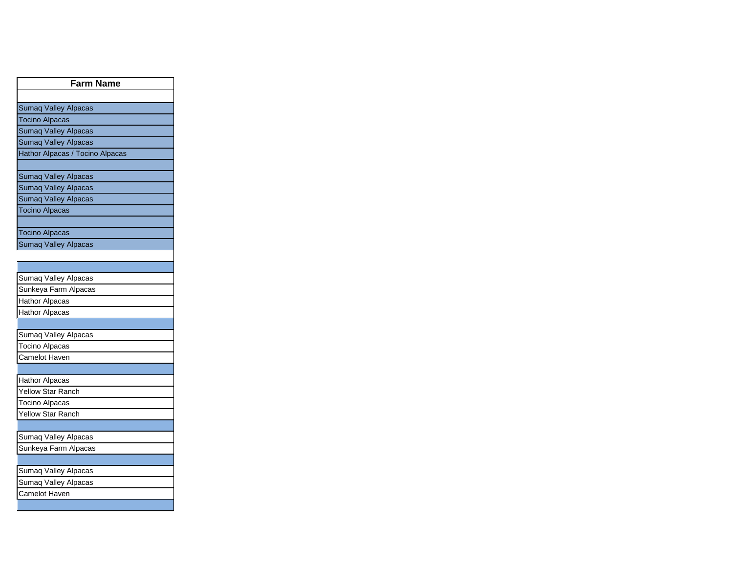| <b>Farm Name</b>                |  |  |  |  |
|---------------------------------|--|--|--|--|
|                                 |  |  |  |  |
| Sumaq Valley Alpacas            |  |  |  |  |
| <b>Tocino Alpacas</b>           |  |  |  |  |
| Sumaq Valley Alpacas            |  |  |  |  |
| Sumaq Valley Alpacas            |  |  |  |  |
| Hathor Alpacas / Tocino Alpacas |  |  |  |  |
|                                 |  |  |  |  |
| Sumaq Valley Alpacas            |  |  |  |  |
| Sumaq Valley Alpacas            |  |  |  |  |
| Sumaq Valley Alpacas            |  |  |  |  |
| <b>Tocino Alpacas</b>           |  |  |  |  |
|                                 |  |  |  |  |
| <b>Tocino Alpacas</b>           |  |  |  |  |
| Sumaq Valley Alpacas            |  |  |  |  |
|                                 |  |  |  |  |
|                                 |  |  |  |  |
| Sumaq Valley Alpacas            |  |  |  |  |
| Sunkeya Farm Alpacas            |  |  |  |  |
| <b>Hathor Alpacas</b>           |  |  |  |  |
| <b>Hathor Alpacas</b>           |  |  |  |  |
| Sumaq Valley Alpacas            |  |  |  |  |
| Tocino Alpacas                  |  |  |  |  |
| Camelot Haven                   |  |  |  |  |
|                                 |  |  |  |  |
| Hathor Alpacas                  |  |  |  |  |
| Yellow Star Ranch               |  |  |  |  |
| Tocino Alpacas                  |  |  |  |  |
| Yellow Star Ranch               |  |  |  |  |
|                                 |  |  |  |  |
| Sumaq Valley Alpacas            |  |  |  |  |
| Sunkeya Farm Alpacas            |  |  |  |  |
|                                 |  |  |  |  |
| Sumaq Valley Alpacas            |  |  |  |  |
| Sumaq Valley Alpacas            |  |  |  |  |
| Camelot Haven                   |  |  |  |  |
|                                 |  |  |  |  |